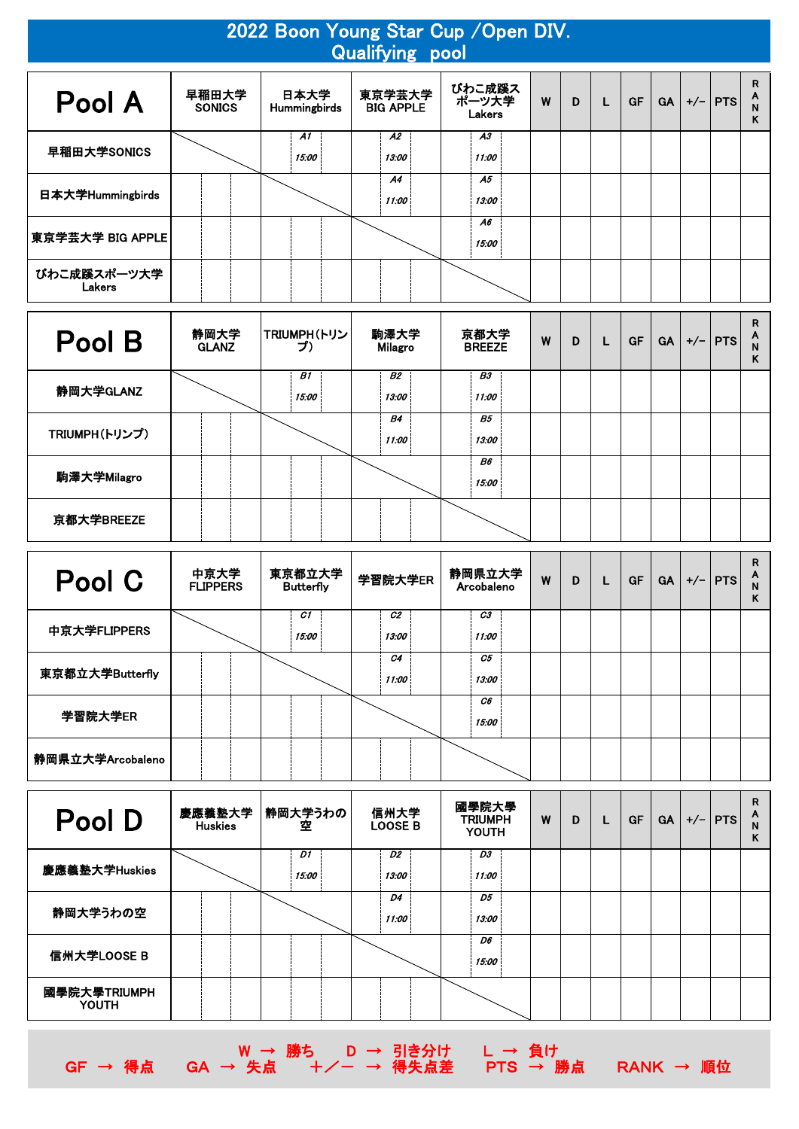|                       | 2022 Boon Young Star Cup / Open DIV.<br><b>Qualifying pool</b> |                             |                            |                           |   |   |   |           |           |  |             |                  |  |  |  |
|-----------------------|----------------------------------------------------------------|-----------------------------|----------------------------|---------------------------|---|---|---|-----------|-----------|--|-------------|------------------|--|--|--|
| Pool A                | 早稲田大学<br><b>SONICS</b>                                         | 日本大学<br><b>Hummingbirds</b> | 東京学芸大学<br><b>BIG APPLE</b> | びわこ成蹊ス<br>ポーツ大学<br>Lakers | W | D | L | <b>GF</b> | <b>GA</b> |  | $+/-$   PTS | R<br>A<br>N<br>Κ |  |  |  |
| 早稲田大学SONICS           |                                                                | A1<br>15:00                 | A2<br>13:00                | A3<br>11:00               |   |   |   |           |           |  |             |                  |  |  |  |
| 日本大学Hummingbirds      |                                                                |                             | A <sub>4</sub><br>11:00    | A5<br>13:00               |   |   |   |           |           |  |             |                  |  |  |  |
| 東京学芸大学 BIG APPLE      |                                                                |                             |                            | A6<br>15:00               |   |   |   |           |           |  |             |                  |  |  |  |
| びわこ成蹊スポーツ大学<br>Lakers |                                                                |                             |                            |                           |   |   |   |           |           |  |             |                  |  |  |  |

| Pool B        | 静岡大学<br><b>GLANZ</b> | TRIUMPH(トリン<br>プ) | 駒澤大学<br>Milagro    | 京都大学<br><b>BREEZE</b> | W | D | <b>GF</b> | <b>GA</b> | $+/-$   PTS | R<br>A<br>N<br>Κ |
|---------------|----------------------|-------------------|--------------------|-----------------------|---|---|-----------|-----------|-------------|------------------|
| 静岡大学GLANZ     |                      | B1<br>15:00       | <b>B2</b><br>13:00 | <b>B3</b><br>11:00    |   |   |           |           |             |                  |
| TRIUMPH(トリンプ) |                      |                   | <b>B4</b><br>11:00 | <b>B5</b><br>13:00    |   |   |           |           |             |                  |
| 駒澤大学Milagro   |                      |                   |                    | B6<br>15:00           |   |   |           |           |             |                  |
| 京都大学BREEZE    |                      |                   |                    |                       |   |   |           |           |             |                  |

| Pool C           | 中京大学<br><b>FLIPPERS</b> | 東京都立大学<br><b>Butterfly</b> | 学習院大学ER                 | 静岡県立大学<br>Arcobaleno | W | D | <b>GF</b> | <b>GA</b> | $+/-$   PTS | R<br>A<br>κ |
|------------------|-------------------------|----------------------------|-------------------------|----------------------|---|---|-----------|-----------|-------------|-------------|
| 中京大学FLIPPERS     |                         | C1<br>15:00                | C <sub>2</sub><br>13:00 | C3<br>11:00          |   |   |           |           |             |             |
| 東京都立大学Butterfly  |                         |                            | C4<br>11:00             | C5<br>13:00          |   |   |           |           |             |             |
| 学習院大学ER          |                         |                            |                         | C6<br>15:00          |   |   |           |           |             |             |
| 静岡県立大学Arcobaleno |                         |                            |                         |                      |   |   |           |           |             |             |

| Pool D                       | <b>Huskies</b> | 慶應義塾大学 静岡大学うわの<br>空 | 信州大学<br><b>LOOSE B</b>  | 國學院大學<br><b>TRIUMPH</b><br><b>YOUTH</b> | W | D | L | <b>GF</b> | <b>GA</b> | $+/-$   PTS | R<br>A<br>Κ |
|------------------------------|----------------|---------------------|-------------------------|-----------------------------------------|---|---|---|-----------|-----------|-------------|-------------|
| 慶應義塾大学Huskies                |                | D1<br>15:00         | D <sub>2</sub><br>13:00 | D3<br>11:00                             |   |   |   |           |           |             |             |
| 静岡大学うわの空                     |                |                     | D4<br>11:00             | D5<br>13:00                             |   |   |   |           |           |             |             |
| 信州大学LOOSE B                  |                |                     |                         | D6<br>15:00                             |   |   |   |           |           |             |             |
| 國學院大學TRIUMPH<br><b>YOUTH</b> |                |                     |                         |                                         |   |   |   |           |           |             |             |

GF → 得点 GA → 失点 +/- → 得失点差 PTS → 勝点 RANK → 順位

W → 勝ち D → 引き分け L → 負け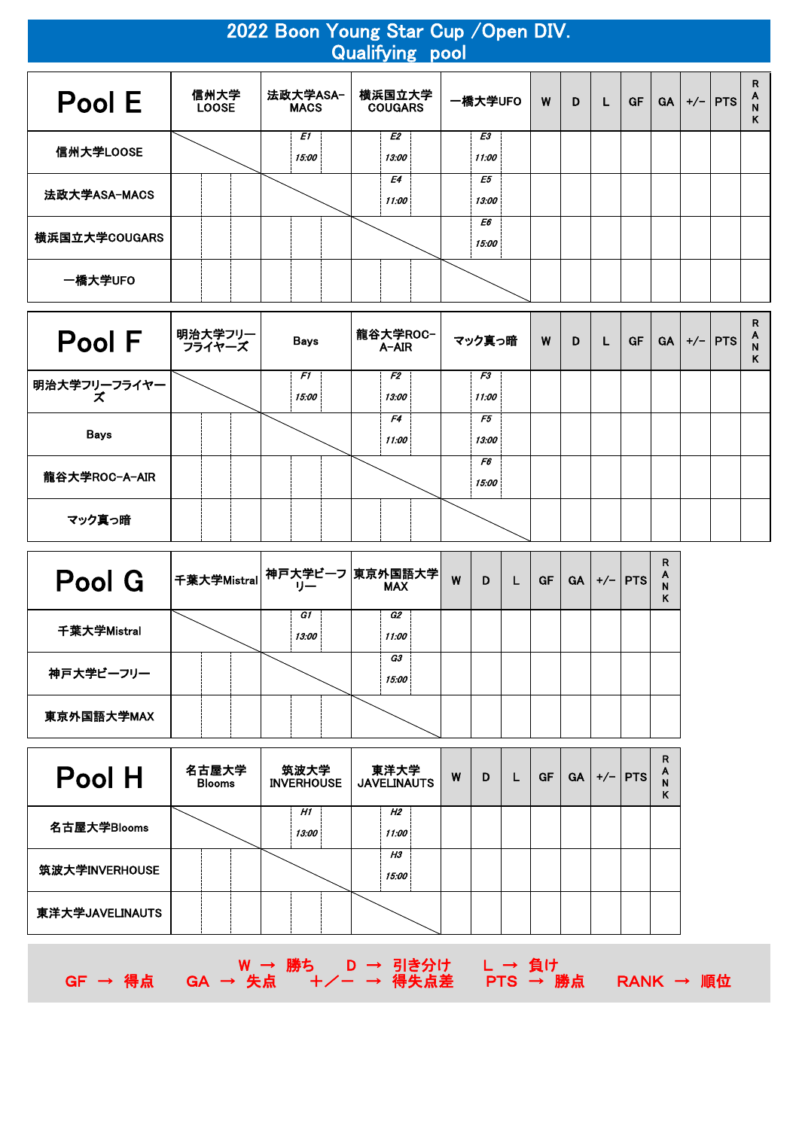| 2022 Boon Young Star Cup / Open DIV.<br><b>Qualifying pool</b> |                      |                         |                          |             |   |   |    |           |           |  |             |                  |  |  |
|----------------------------------------------------------------|----------------------|-------------------------|--------------------------|-------------|---|---|----|-----------|-----------|--|-------------|------------------|--|--|
| Pool E                                                         | 信州大学<br><b>LOOSE</b> | 法政大学ASA-<br><b>MACS</b> | 横浜国立大学<br><b>COUGARS</b> | 一橋大学UFO     | W | D | L. | <b>GF</b> | <b>GA</b> |  | $+/-$   PTS | R<br>A<br>N<br>Κ |  |  |
| 信州大学LOOSE                                                      |                      | E1<br>15:00             | E2<br>13:00              | E3<br>11:00 |   |   |    |           |           |  |             |                  |  |  |
| 法政大学ASA-MACS                                                   |                      |                         | E4<br>11:00              | E5<br>13:00 |   |   |    |           |           |  |             |                  |  |  |
| 横浜国立大学COUGARS                                                  |                      |                         |                          | E6<br>15:00 |   |   |    |           |           |  |             |                  |  |  |
| 一橋大学UFO                                                        |                      |                         |                          |             |   |   |    |           |           |  |             |                  |  |  |

| <b>Pool F</b>       | 明治大学フリー<br>  フライヤーズ | <b>Bays</b> | 龍谷大学ROC-<br>A-AIR       | マック真っ暗      | W | D | GF | GA | $+/-$   PTS | R<br>A<br>κ |
|---------------------|---------------------|-------------|-------------------------|-------------|---|---|----|----|-------------|-------------|
| 明治大学フリーフライヤー<br>- オ |                     | F1<br>15:00 | F <sub>2</sub><br>13:00 | F3<br>11:00 |   |   |    |    |             |             |
| <b>Bays</b>         |                     |             | F4<br>11:00             | F5<br>13:00 |   |   |    |    |             |             |
| 龍谷大学ROC-A-AIR       |                     |             |                         | F6<br>15:00 |   |   |    |    |             |             |
| マック真っ暗              |                     |             |                         |             |   |   |    |    |             |             |

| Pool G      | │千葉大学Mistral│神戸大学ビーフ│東京外国語大学│<br>│千葉大学Mistral│神戸ナー |             | W | D | <b>GF</b> | GA | $+/-$ PTS | R<br>A<br>N<br>K |
|-------------|----------------------------------------------------|-------------|---|---|-----------|----|-----------|------------------|
| 千葉大学Mistral | G1<br>13:00                                        | G2<br>11:00 |   |   |           |    |           |                  |
| 神戸大学ビーフリー   |                                                    | G3<br>15:00 |   |   |           |    |           |                  |
| 東京外国語大学MAX  |                                                    |             |   |   |           |    |           |                  |

| Pool H          | 名古屋大学<br><b>Blooms</b> | 筑波大学<br><b>INVERHOUSE</b> | 東洋大学<br><b>JAVELINAUTS</b> | W | D | <b>GF</b> | <b>GA</b> | $+/-$   PTS | R<br>А |
|-----------------|------------------------|---------------------------|----------------------------|---|---|-----------|-----------|-------------|--------|
| 名古屋大学Blooms     |                        | H1<br>13:00               | H2<br>11:00                |   |   |           |           |             |        |
| 筑波大学INVERHOUSE  |                        |                           | H <sub>3</sub><br>15:00    |   |   |           |           |             |        |
| 東洋大学JAVELINAUTS |                        |                           |                            |   |   |           |           |             |        |

W → 勝ち D → 引き分け L → 負け GF → 得点 GA → 失点 +/- → 得失点差 PTS → 勝点 RANK → 順位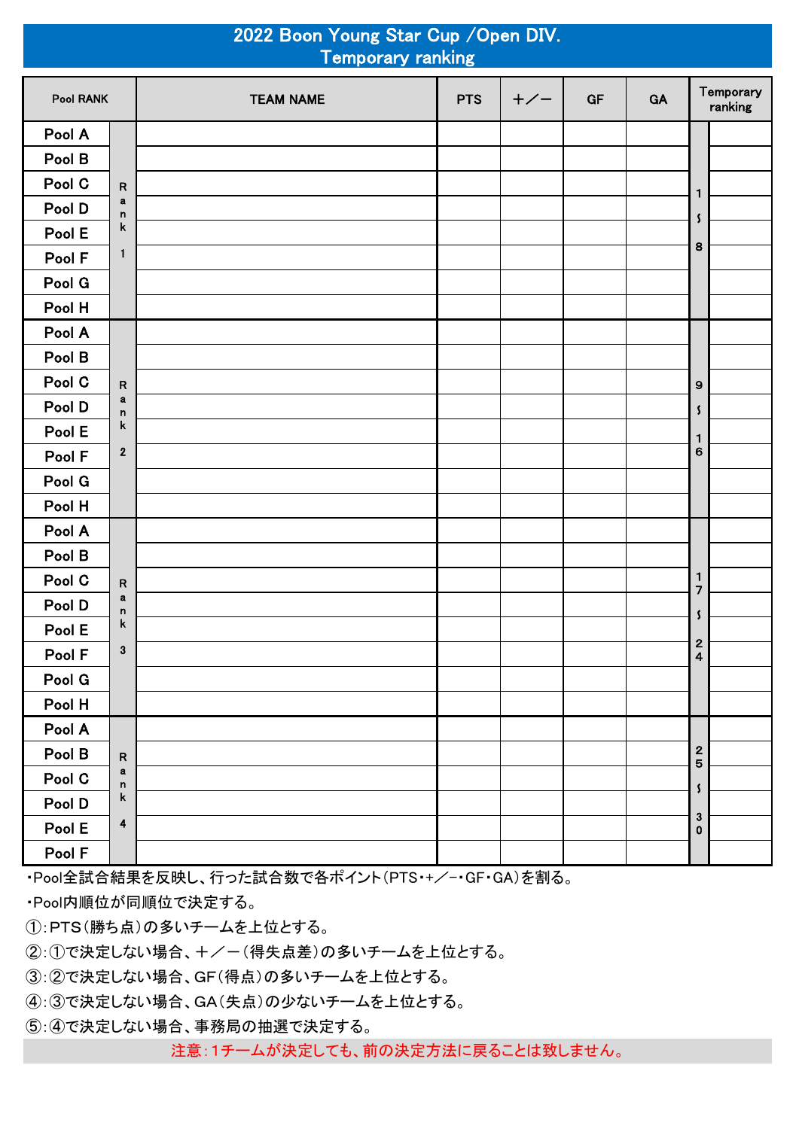|           |              | 2022 Boon Young Star Cup / Open DIV.<br><b>Temporary ranking</b> |            |       |           |    |                                                    |                      |
|-----------|--------------|------------------------------------------------------------------|------------|-------|-----------|----|----------------------------------------------------|----------------------|
| Pool RANK |              | <b>TEAM NAME</b>                                                 | <b>PTS</b> | $+/-$ | <b>GF</b> | GA |                                                    | Temporary<br>ranking |
| Pool A    |              |                                                                  |            |       |           |    |                                                    |                      |
| Pool B    |              |                                                                  |            |       |           |    |                                                    |                      |
| Pool C    | R            |                                                                  |            |       |           |    | 1                                                  |                      |
| Pool D    | $\bf a$<br>n |                                                                  |            |       |           |    | S                                                  |                      |
| Pool E    | k            |                                                                  |            |       |           |    |                                                    |                      |
| Pool F    | 1            |                                                                  |            |       |           |    | 8                                                  |                      |
| Pool G    |              |                                                                  |            |       |           |    |                                                    |                      |
| Pool H    |              |                                                                  |            |       |           |    |                                                    |                      |
| Pool A    |              |                                                                  |            |       |           |    |                                                    |                      |
| Pool B    |              |                                                                  |            |       |           |    |                                                    |                      |
| Pool C    | R            |                                                                  |            |       |           |    | 9                                                  |                      |
| Pool D    | a<br>n       |                                                                  |            |       |           |    | \$                                                 |                      |
| Pool E    | k            |                                                                  |            |       |           |    | 1                                                  |                      |
| Pool F    | $\mathbf 2$  |                                                                  |            |       |           |    | 6                                                  |                      |
| Pool G    |              |                                                                  |            |       |           |    |                                                    |                      |
| Pool H    |              |                                                                  |            |       |           |    |                                                    |                      |
| Pool A    |              |                                                                  |            |       |           |    |                                                    |                      |
| Pool B    |              |                                                                  |            |       |           |    |                                                    |                      |
| Pool C    | R            |                                                                  |            |       |           |    | 1<br>$\overline{7}$                                |                      |
| Pool D    | $\bf a$<br>n |                                                                  |            |       |           |    | S                                                  |                      |
| Pool E    | k            |                                                                  |            |       |           |    |                                                    |                      |
| Pool F    | 3            |                                                                  |            |       |           |    | $\overline{\mathbf{c}}$<br>$\overline{\mathbf{4}}$ |                      |
| Pool G    |              |                                                                  |            |       |           |    |                                                    |                      |
| Pool H    |              |                                                                  |            |       |           |    |                                                    |                      |
| Pool A    |              |                                                                  |            |       |           |    |                                                    |                      |
| Pool B    | ${\sf R}$    |                                                                  |            |       |           |    | $\overline{\mathbf{c}}$<br>$\overline{5}$          |                      |
| Pool C    | a<br>n       |                                                                  |            |       |           |    |                                                    |                      |
| Pool D    | k            |                                                                  |            |       |           |    | S                                                  |                      |
| Pool E    | 4            |                                                                  |            |       |           |    | $\bf 3$<br>$\bf{0}$                                |                      |
| Pool F    |              |                                                                  |            |       |           |    |                                                    |                      |

・Pool全試合結果を反映し、行った試合数で各ポイント(PTS・+/-・GF・GA)を割る。

・Pool内順位が同順位で決定する。

①:PTS(勝ち点)の多いチームを上位とする。

②:①で決定しない場合、+/-(得失点差)の多いチームを上位とする。

③:②で決定しない場合、GF(得点)の多いチームを上位とする。

④:③で決定しない場合、GA(失点)の少ないチームを上位とする。

⑤:④で決定しない場合、事務局の抽選で決定する。

注意:1チームが決定しても、前の決定方法に戻ることは致しません。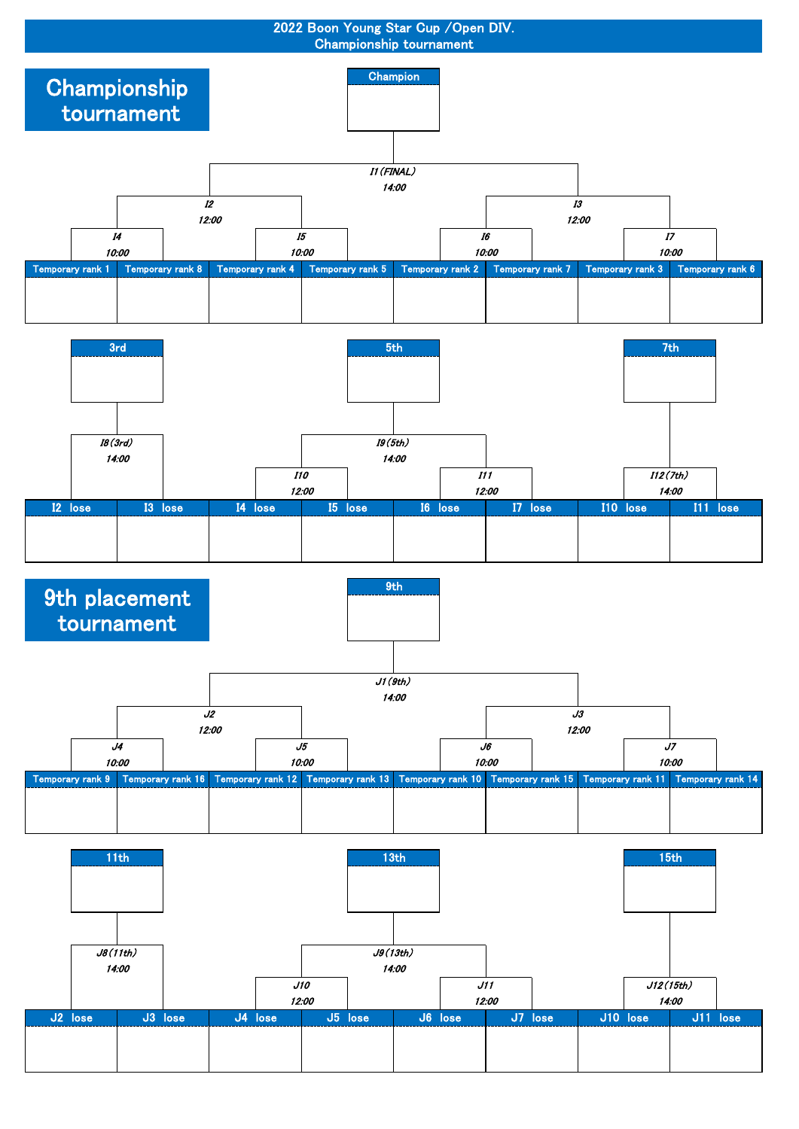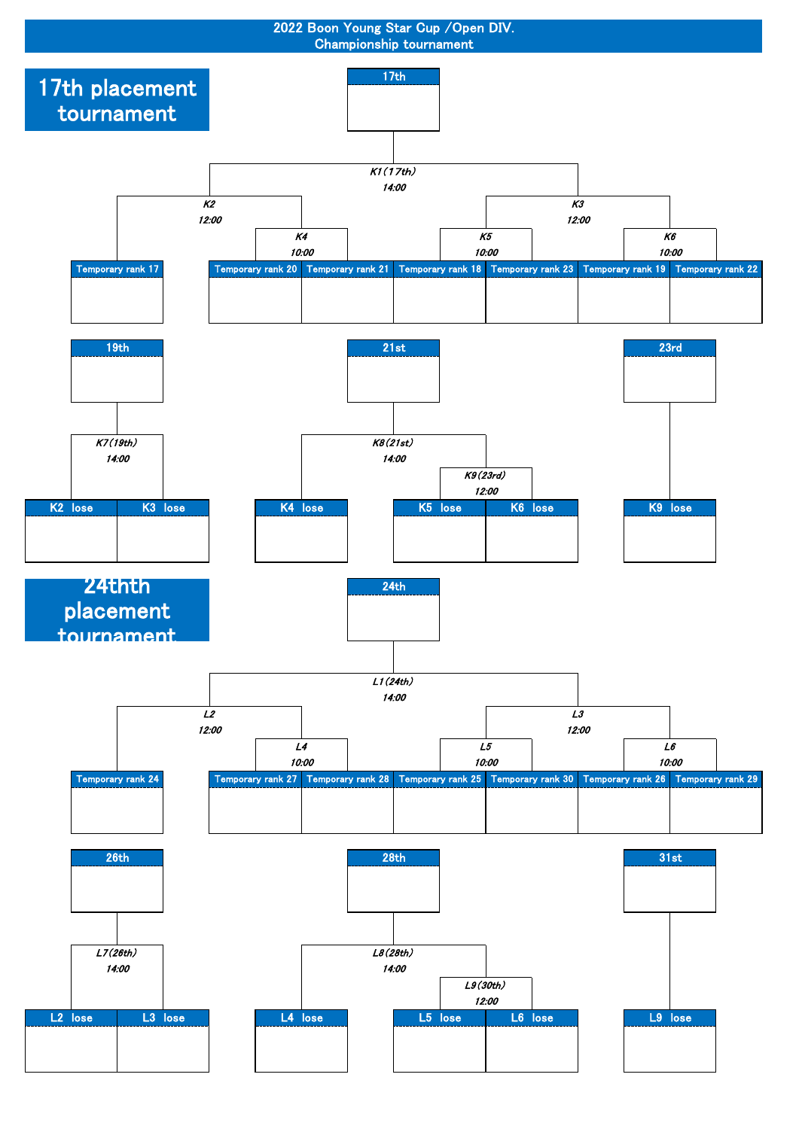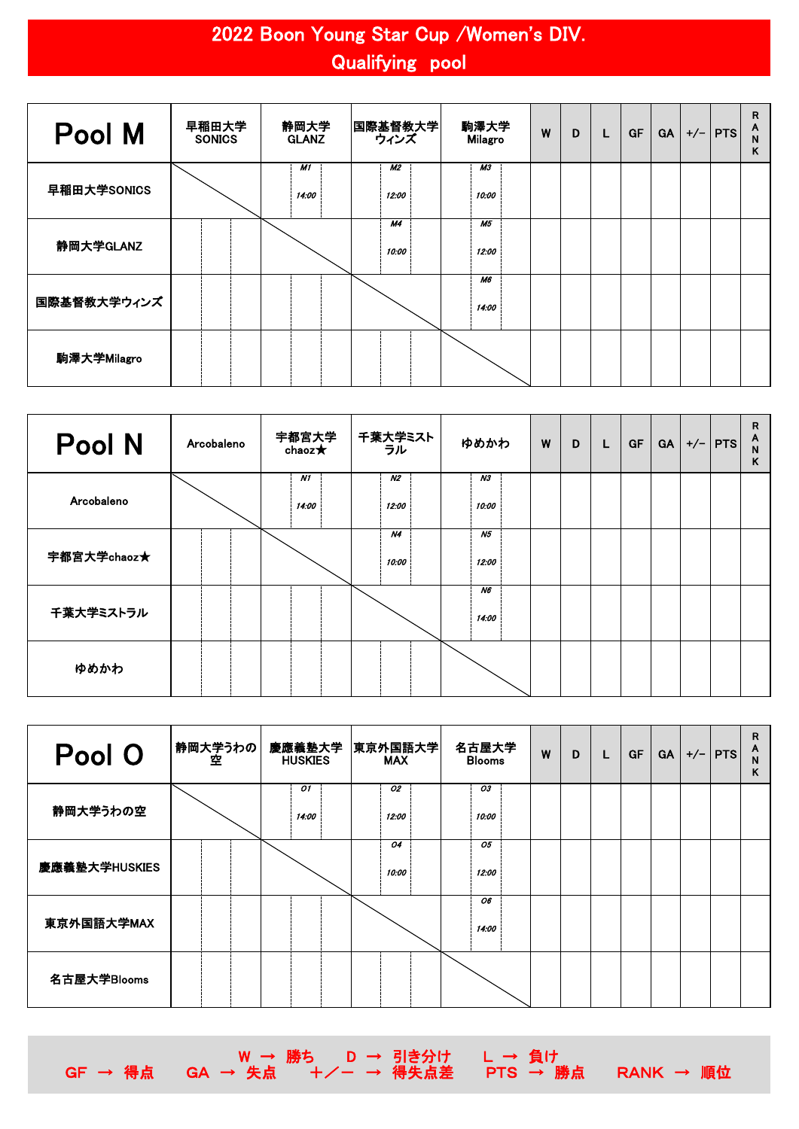## 2022 Boon Young Star Cup /Women's DIV. Qualifying pool

| Pool M      | 早稲田大学<br><b>SONICS</b> | 静岡大学<br><b>GLANZ</b> | 国際基督教大学 <br>ウィンズ   | 駒澤大学<br><b>Milagro</b>  | W | D | L | <b>GF</b> | <b>GA</b> | $+/-$   PTS | R<br>A<br>N<br>Κ |
|-------------|------------------------|----------------------|--------------------|-------------------------|---|---|---|-----------|-----------|-------------|------------------|
| 早稲田大学SONICS |                        | <b>M1</b><br>14:00   | <b>M2</b><br>12:00 | M <sub>3</sub><br>10:00 |   |   |   |           |           |             |                  |
| 静岡大学GLANZ   |                        |                      | <b>M4</b><br>10:00 | M5<br>12:00             |   |   |   |           |           |             |                  |
| 国際基督教大学ウィンズ |                        |                      |                    | <b>M6</b><br>14:00      |   |   |   |           |           |             |                  |
| 駒澤大学Milagro |                        |                      |                    |                         |   |   |   |           |           |             |                  |

| Pool N      | Arcobaleno | 宇都宮大学<br>chaoz $\bigstar$ | 千葉大学ミスト<br>ウル | ゆめかわ                    | W | D | L | <b>GF</b> | <b>GA</b> | $+/-$   PTS | R<br>A<br>N<br>ĸ |
|-------------|------------|---------------------------|---------------|-------------------------|---|---|---|-----------|-----------|-------------|------------------|
| Arcobaleno  |            | <b>N1</b><br>14:00        | N2<br>12:00   | N3<br>10:00             |   |   |   |           |           |             |                  |
| 宇都宮大学chaoz★ |            |                           | N4<br>10:00   | N <sub>5</sub><br>12:00 |   |   |   |           |           |             |                  |
| 千葉大学ミストラル   |            |                           |               | N6<br>14:00             |   |   |   |           |           |             |                  |
| ゆめかわ        |            |                           |               |                         |   |   |   |           |           |             |                  |

| Pool O        | 静岡大学うわの <br> <br> 空 | 慶應義塾大学<br><b>HUSKIES</b> | 東京外国語大学 <br><b>MAX</b> | 名古屋大学<br><b>Blooms</b> | W | D | L | <b>GF</b> | <b>GA</b> | $+/-$   PTS | R<br>A<br>N<br>Κ |
|---------------|---------------------|--------------------------|------------------------|------------------------|---|---|---|-----------|-----------|-------------|------------------|
| 静岡大学うわの空      |                     | 01<br>14:00              | 02<br>12:00            | 03<br>10:00            |   |   |   |           |           |             |                  |
| 慶應義塾大学HUSKIES |                     |                          | 04<br>10:00            | 05<br>12:00            |   |   |   |           |           |             |                  |
| 東京外国語大学MAX    |                     |                          |                        | 06<br>14:00            |   |   |   |           |           |             |                  |
| 名古屋大学Blooms   |                     |                          |                        |                        |   |   |   |           |           |             |                  |

W → 勝ち D → 引き分け L → 負け GF → 得点 GA → 失点 +/- → 得失点差 PTS → 勝点 RANK → 順位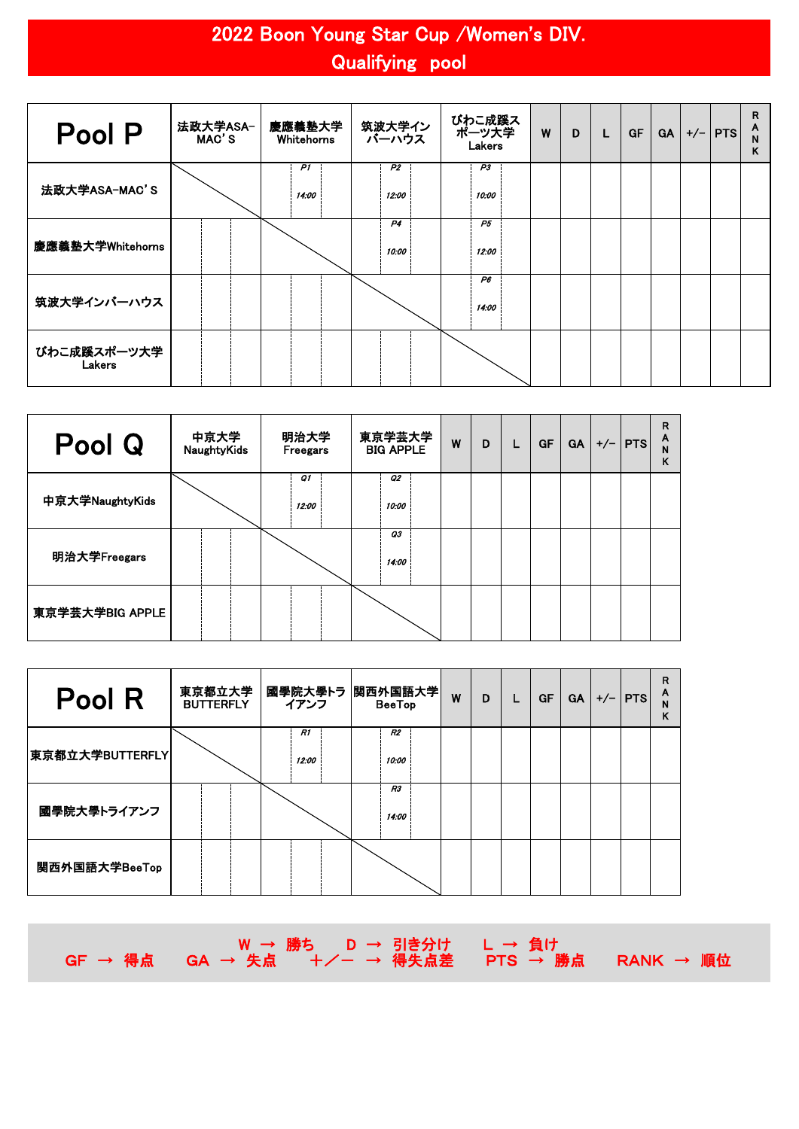## 2022 Boon Young Star Cup /Women's DIV. Qualifying pool

| Pool P                | 法政大学ASA-<br>MAC'S | 慶應義塾大学<br>Whitehorns | 筑波大学イン<br>バーハウス         | びわこ成蹊ス<br>ポーツ大学<br>Lakers | W | D | L | <b>GF</b> | <b>GA</b> | $+/-$   PTS | R<br>A<br>N<br>Κ |
|-----------------------|-------------------|----------------------|-------------------------|---------------------------|---|---|---|-----------|-----------|-------------|------------------|
| 法政大学ASA-MAC'S         |                   | P1<br>14:00          | <b>P2</b><br>12:00      | P3<br>10:00               |   |   |   |           |           |             |                  |
| 慶應義塾大学Whitehorns      |                   |                      | P <sub>4</sub><br>10:00 | P5<br>12:00               |   |   |   |           |           |             |                  |
| 筑波大学インバーハウス           |                   |                      |                         | P6<br>14:00               |   |   |   |           |           |             |                  |
| びわこ成蹊スポーツ大学<br>Lakers |                   |                      |                         |                           |   |   |   |           |           |             |                  |

| Pool Q          | 中京大学<br>NaughtyKids | 明治大学<br>Freegars   | 東京学芸大学<br><b>BIG APPLE</b> | W | D | L. | <b>GF</b> | <b>GA</b> | $+/-$   PTS | R<br>A<br>N<br>K |
|-----------------|---------------------|--------------------|----------------------------|---|---|----|-----------|-----------|-------------|------------------|
| 中京大学NaughtyKids |                     | <b>Q1</b><br>12:00 | Ο2<br>10:00                |   |   |    |           |           |             |                  |
| 明治大学Freegars    |                     |                    | 03<br>14:00                |   |   |    |           |           |             |                  |
| 東京学芸大学BIG APPLE |                     |                    |                            |   |   |    |           |           |             |                  |

| Pool R          | 東京都立大学<br><b>BUTTERFLY</b> | イアンフ        | 國學院大學トラ  関西外国語大学 <br><b>BeeTop</b> | W | D | <b>GF</b> | <b>GA</b> | $+/-$   PTS | R<br>A<br>N<br>Κ |
|-----------------|----------------------------|-------------|------------------------------------|---|---|-----------|-----------|-------------|------------------|
| 東京都立大学BUTTERFLY |                            | R1<br>12:00 | R2<br>10:00                        |   |   |           |           |             |                  |
| 國學院大學トライアンフ     |                            |             | R3<br>14:00                        |   |   |           |           |             |                  |
| 関西外国語大学BeeTop   |                            |             |                                    |   |   |           |           |             |                  |

|  |  |  | │W → 勝ち │ D → 引き分け │ L → 負け │ | GF → 得点 GA → 失点 +/- → 得失点差 PTS → 勝点 RANK → 順位 → |  |
|--|--|--|-------------------------------|-------------------------------------------------|--|
|--|--|--|-------------------------------|-------------------------------------------------|--|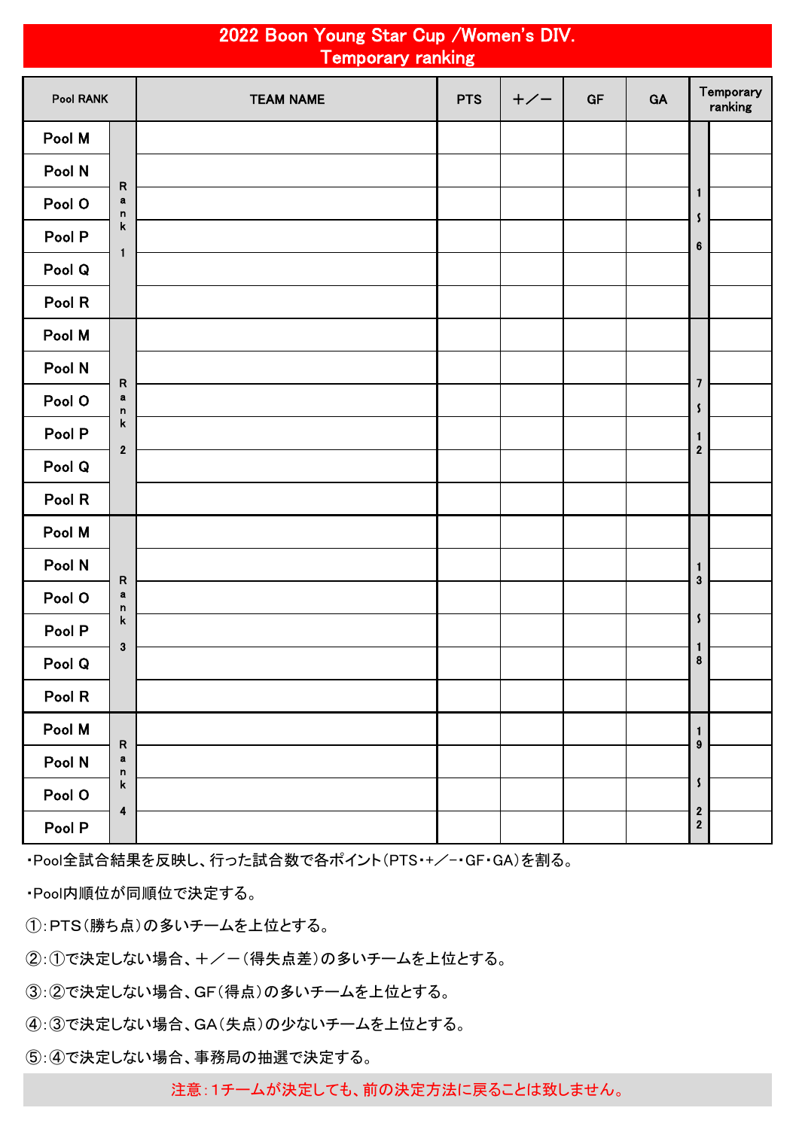|           |                         | 2022 Boon Young Star Cup / Women's DIV.<br><b>Temporary ranking</b> |            |       |    |    |                                           |
|-----------|-------------------------|---------------------------------------------------------------------|------------|-------|----|----|-------------------------------------------|
| Pool RANK |                         | <b>TEAM NAME</b>                                                    | <b>PTS</b> | $+/-$ | GF | GA | Temporary<br>ranking                      |
| Pool M    |                         |                                                                     |            |       |    |    |                                           |
| Pool N    | ${\sf R}$               |                                                                     |            |       |    |    |                                           |
| Pool O    | $\bf a$<br>$\mathsf n$  |                                                                     |            |       |    |    | $\mathbf{1}$<br>$\boldsymbol{\mathsf{s}}$ |
| Pool P    | $\mathbf k$             |                                                                     |            |       |    |    | $\bf 6$                                   |
| Pool Q    | 1                       |                                                                     |            |       |    |    |                                           |
| Pool R    |                         |                                                                     |            |       |    |    |                                           |
| Pool M    |                         |                                                                     |            |       |    |    |                                           |
| Pool N    | ${\sf R}$               |                                                                     |            |       |    |    | $\overline{7}$                            |
| Pool O    | $\bf a$<br>$\mathsf{n}$ |                                                                     |            |       |    |    | $\boldsymbol{\zeta}$                      |
| Pool P    | $\mathsf k$             |                                                                     |            |       |    |    | $\mathbf{1}$                              |
| Pool Q    | $\boldsymbol{2}$        |                                                                     |            |       |    |    | $\overline{\mathbf{c}}$                   |
| Pool R    |                         |                                                                     |            |       |    |    |                                           |
| Pool M    |                         |                                                                     |            |       |    |    |                                           |
| Pool N    | ${\sf R}$               |                                                                     |            |       |    |    | $\mathbf{1}$<br>$\mathbf{3}$              |
| Pool O    | $\bf a$<br>n            |                                                                     |            |       |    |    |                                           |
| Pool P    | $\mathsf k$             |                                                                     |            |       |    |    | $\pmb{\mathsf{s}}$                        |
| Pool Q    | $\mathbf 3$             |                                                                     |            |       |    |    | $\mathbf{1}$<br>$\pmb{8}$                 |
| Pool R    |                         |                                                                     |            |       |    |    |                                           |
| Pool M    | ${\sf R}$               |                                                                     |            |       |    |    | $\mathbf{1}$<br>$\boldsymbol{9}$          |
| Pool N    | a<br>$\mathsf n$        |                                                                     |            |       |    |    |                                           |
| Pool O    | $\mathsf k$             |                                                                     |            |       |    |    | $\mathsf{\mathsf{S}}$                     |
| Pool P    | $\boldsymbol{4}$        |                                                                     |            |       |    |    | $\overline{\mathbf{2}}$<br>$\bf{2}$       |

・Pool全試合結果を反映し、行った試合数で各ポイント(PTS・+/-・GF・GA)を割る。

・Pool内順位が同順位で決定する。

①:PTS(勝ち点)の多いチームを上位とする。

②:①で決定しない場合、+/-(得失点差)の多いチームを上位とする。

③:②で決定しない場合、GF(得点)の多いチームを上位とする。

④:③で決定しない場合、GA(失点)の少ないチームを上位とする。

⑤:④で決定しない場合、事務局の抽選で決定する。

注意:1チームが決定しても、前の決定方法に戻ることは致しません。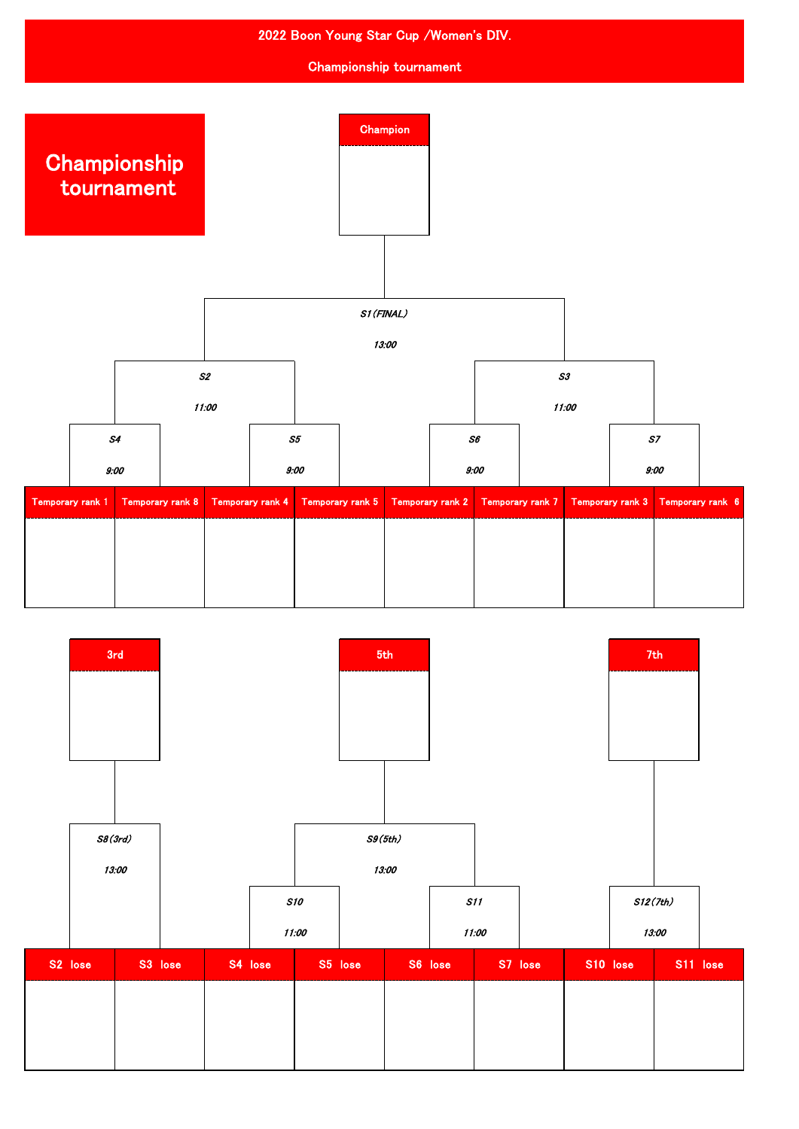

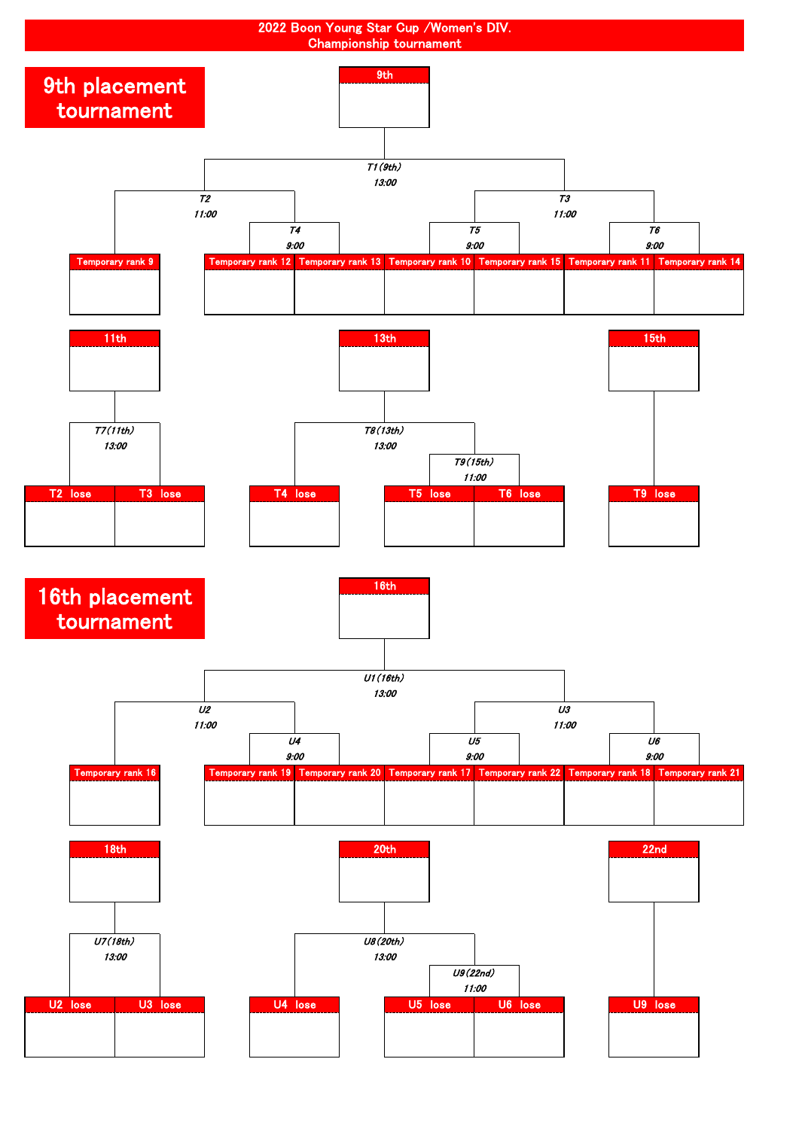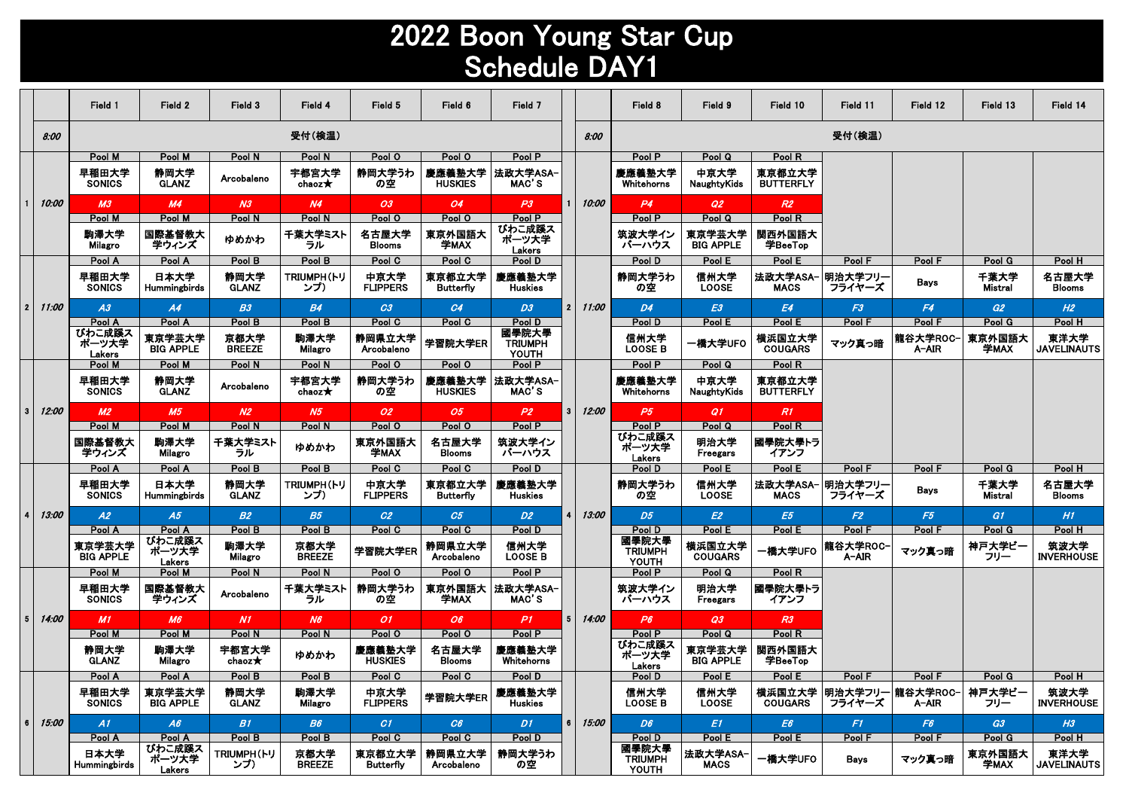## 2022 Boon Young Star Cup Schedule DAY1

|                 |       | Field 1                     | Field 2                    | Field 3                   | Field 4                  | Field 5                    | Field 6                    | Field 7                          |                |       | Field 8                          | Field 9                    | Field 10                   | Field 11          | Field 12                           | Field 13        | Field 14                   |
|-----------------|-------|-----------------------------|----------------------------|---------------------------|--------------------------|----------------------------|----------------------------|----------------------------------|----------------|-------|----------------------------------|----------------------------|----------------------------|-------------------|------------------------------------|-----------------|----------------------------|
|                 | 8:00  |                             |                            |                           | 受付(検温)                   |                            |                            |                                  |                | 8:00  |                                  |                            |                            | 受付(検温)            |                                    |                 |                            |
|                 |       | Pool M                      | Pool M                     | Pool N                    | Pool N                   | Pool O                     | Pool O                     | Pool P                           |                |       | Pool P                           | Pool Q                     | Pool R                     |                   |                                    |                 |                            |
|                 |       | 早稲田大学<br><b>SONICS</b>      | 静岡大学<br><b>GLANZ</b>       | Arcobaleno                | 宇都宮大学<br>chaoz $\star$   | 静岡大学うわ<br>の空               | 慶應義塾大学<br><b>HUSKIES</b>   | 法政大学ASA<br>MAC'S                 |                |       | 慶應義塾大学<br>Whitehorns             | 中京大学<br>NaughtyKids        | 東京都立大学<br><b>BUTTERFLY</b> |                   |                                    |                 |                            |
|                 | 10:00 | M <sub>3</sub>              | M4                         | N <sub>3</sub>            | N <sub>4</sub>           | 03                         | 04                         | P3                               | 1.             | 10:00 | P4                               | Q2                         | R2                         |                   |                                    |                 |                            |
|                 |       | Pool M                      | Pool M                     | Pool N                    | Pool N                   | Pool O                     | Pool O                     | Pool P                           |                |       | Pool P                           | Pool Q                     | Pool R                     |                   |                                    |                 |                            |
|                 |       | 駒澤大学<br>Milagro             | 国際基督教大<br>学ウィンズ            | ゆめかわ                      | 千葉大学ミスト<br>ラル            | 名古屋大学<br><b>Blooms</b>     | 東京外国語大<br>学MAX             | びわこ成蹊ス<br>ポーツ大学<br>Lakers        |                |       | 筑波大学イン<br>バーハウス                  | 東京学芸大学<br><b>BIG APPLE</b> | 関西外国語大<br>学BeeTop          |                   |                                    |                 |                            |
|                 |       | Pool A                      | Pool A                     | Pool B                    | Pool B                   | Pool C                     | Pool C                     | Pool D                           |                |       | Pool D                           | Pool E                     | Pool E                     | Pool F            | Pool F                             | Pool G          | Pool H                     |
|                 |       | 早稲田大学<br><b>SONICS</b>      | 日本大学<br>Hummingbirds       | 静岡大学<br><b>GLANZ</b>      | <b>TRIUMPH(トリ</b><br>ンプ) | 中京大学<br><b>FLIPPERS</b>    | 東京都立大学<br><b>Butterfly</b> | 慶應義塾大学<br>Huskies                |                |       | 静岡大学うわ<br>の空                     | 信州大学<br><b>LOOSE</b>       | 法政大学ASA-<br><b>MACS</b>    | 明治大学フリー<br>フライヤーズ | <b>Bays</b>                        | 千葉大学<br>Mistral | 名古屋大学<br><b>Blooms</b>     |
| $\overline{2}$  | 11:00 | A3                          | A4                         | B3                        | <b>B4</b>                | C3                         | C4                         | D <sub>3</sub>                   | 2 <sub>1</sub> | 11:00 | D4                               | E3                         | E4                         | F3                | F4                                 | G2              | H2                         |
|                 |       | Pool A                      | Pool A                     | Pool B                    | Pool B                   | Pool C                     | Pool C                     | Pool D                           |                |       | Pool D                           | Pool E                     | Pool E                     | Pool F            | Pool F                             | Pool G          | Pool H                     |
|                 |       | びわこ成蹊ス<br>ポーツ大学<br>Lakers   | 東京学芸大学<br><b>BIG APPLE</b> | 京都大学<br><b>BREEZE</b>     | 駒澤大学<br>Milagro          | 静岡県立大学<br>Arcobaleno       | 学習院大学ER                    | 國學院大學<br><b>TRIUMPH</b><br>YOUTH |                |       | 信州大学<br><b>LOOSE B</b>           | 一橋大学UFO                    | 横浜国立大学<br><b>COUGARS</b>   | マック真っ暗            | 龍谷大学ROC-<br>A-AIR                  | 東京外国語大<br>学MAX  | 東洋大学<br><b>JAVELINAUTS</b> |
|                 |       | Pool M                      | Pool M                     | Pool N                    | Pool N                   | Pool O                     | Pool O                     | Pool P                           |                |       | Pool P                           | Pool Q                     | Pool R                     |                   |                                    |                 |                            |
|                 |       | 早稲田大学<br><b>SONICS</b>      | 静岡大学<br><b>GLANZ</b>       | Arcobaleno                | 宇都宮大学<br>chaoz $\star$   | 静岡大学うわ<br>の空               | 慶應義塾大学<br><b>HUSKIES</b>   | 法政大学ASA<br>MAC'S                 |                |       | 慶應義塾大学<br>Whitehorns             | 中京大学<br>NaughtyKids        | 東京都立大学<br><b>BUTTERFLY</b> |                   |                                    |                 |                            |
| 3               | 12:00 | M <sub>2</sub>              | M5                         | N <sub>2</sub>            | N <sub>5</sub>           | 02                         | 05                         | P2                               | 3              | 12:00 | P5                               | Q1                         | R1                         |                   |                                    |                 |                            |
|                 |       | Pool M                      | Pool M                     | Pool N                    | Pool N                   | Pool O                     | Pool O                     | Pool P                           |                |       | Pool P                           | Pool Q                     | Pool R                     |                   |                                    |                 |                            |
|                 |       | 国際基督教大<br>学ウィンズ             | 胸澤大学<br>Milagro            | 千葉大学ミスト<br>ラル             | ゆめかわ                     | 東京外国語大<br>学MAX             | 名古屋大学<br><b>Blooms</b>     | 筑波大学イン<br>バーハウス                  |                |       | びわこ成蹊ス<br>ポーツ大学<br>Lakers        | 明治大学<br><b>Freegars</b>    | 國學院大學トラ<br>イアンフ            |                   |                                    |                 |                            |
|                 |       | Pool A                      | Pool A                     | Pool B                    | Pool B                   | Pool C                     | Pool C                     | Pool D                           |                |       | Pool D                           | Pool E                     | Pool E                     | Pool F            | Pool F                             | Pool G          | Pool H                     |
|                 |       | 早稲田大学<br><b>SONICS</b>      | 日本大学<br>Hummingbirds       | 静岡大学<br><b>GLANZ</b>      | <b>TRIUMPH(トリ</b><br>ンブ) | 中京大学<br><b>FLIPPERS</b>    | 東京都立大学<br><b>Butterfly</b> | 慶應義塾大学<br><b>Huskies</b>         |                |       | 静岡大学うわ<br>の空                     | 信州大学<br><b>LOOSE</b>       | 法政大学ASA-<br><b>MACS</b>    | 明治大学フリー<br>フライヤーズ | Bavs                               | 千葉大学<br>Mistral | 名古屋大学<br><b>Blooms</b>     |
|                 | 13:00 | A2                          | A5                         | B2                        | <b>B5</b>                | C2                         | C <sub>5</sub>             | D2                               |                | 13:00 | D5                               | E2                         | E5                         | F2                | F5                                 | G1              | H1                         |
|                 |       | Pool A                      | Pool A                     | Pool B                    | Pool B                   | Pool C                     | Pool C                     | Pool D                           |                |       | Pool D                           | Pool E                     | Pool E                     | Pool F            | Pool F                             | Pool G          | Pool H                     |
|                 |       | 東京学芸大学<br><b>BIG APPLE</b>  | びわこ成蹊ス<br>ポーツ大学<br>Lakers  | 駒澤大学<br>Milagro           | 京都大学<br><b>BREEZE</b>    | 学習院大学ER                    | 静岡県立大学<br>Arcobaleno       | 信州大学<br><b>LOOSE B</b>           |                |       | 國學院大學<br><b>TRIUMPH</b><br>YOUTH | 横浜国立大学<br><b>COUGARS</b>   | <b>-橋大学UFO</b>             | 龍谷大学ROC-<br>A-AIR | マック真っ暗                             | 神戸大学ビー<br>フリー   | 筑波大学<br><b>INVERHOUSE</b>  |
|                 |       | Pool M                      | Pool M                     | Pool N                    | Pool N                   | Pool O                     | Pool O                     | Pool P                           |                |       | Pool P                           | Pool Q                     | Pool R                     |                   |                                    |                 |                            |
|                 |       | 早稲田大学<br><b>SONICS</b>      | 国際基督教大<br>学ウィンズ            | Arcobaleno                | 千葉大学ミスト<br>ラル            | 静岡大学うわ<br>の空               | 東京外国語大<br>学MAX             | 法政大学ASA-<br>MAC'S                |                |       | 筑波大学イン<br>バーハウス                  | 明治大学<br>Freegars           | 國學院大學トラ<br>イアンフ            |                   |                                    |                 |                            |
| $5\phantom{.0}$ | 14:00 | M1                          | M6                         | N1                        | N6                       | 01                         | 06                         | P <sub>1</sub>                   | 5              | 14:00 | P6                               | Q3                         | R3                         |                   |                                    |                 |                            |
|                 |       | Pool M                      | Pool M                     | Pool N                    | Pool N                   | Pool O                     | Pool O                     | Pool P                           |                |       | Pool P                           | Pool Q                     | Pool R                     |                   |                                    |                 |                            |
|                 |       | 静岡大学<br><b>GLANZ</b>        | 胸澤大学<br><b>Milagro</b>     | 宇都宮大学<br>chaoz $\bigstar$ | ゆめかわ                     | 慶應義塾大学<br><b>HUSKIES</b>   | 名古屋大学<br><b>Blooms</b>     | 慶應義塾大学<br>Whitehorns             |                |       | びわこ成蹊ス<br>ポーツ大学<br>Lakers        | 東京学芸大学<br><b>BIG APPLE</b> | 関西外国語大<br>学BeeTop          |                   |                                    |                 |                            |
|                 |       | Pool A                      | Pool A                     | Pool B                    | Pool B                   | Pool C                     | Pool C                     | Pool D                           |                |       | Pool D                           | Pool E                     | Pool E                     | Pool F            | Pool F                             | Pool G          | Pool H                     |
|                 |       | 早稲田大学<br><b>SONICS</b>      | 東京学芸大学<br><b>BIG APPLE</b> | 静岡大学<br><b>GLANZ</b>      | 駒澤大学<br>Milagro          | 中京大学<br><b>FLIPPERS</b>    | 学習院大学ER                    | 慶應義塾大学<br><b>Huskies</b>         |                |       | 信州大学<br><b>LOOSE B</b>           | 信州大学<br><b>LOOSE</b>       | <b>COUGARS</b>             | フライヤーズ            | 横浜国立大学  明治大学フリー 龍谷大学ROC- <br>A-AIR | 神戸大学ビー<br>フリー   | 筑波大学<br>INVERHOUSE         |
| 6               | 15:00 | A1                          | A6                         | <b>B1</b>                 | B6                       | CI                         | C6                         | D1.                              | 6.             | 15:00 | D <sub>6</sub>                   | E1                         | E <sub>6</sub>             | F1                | F <sub>6</sub>                     | G3              | H <sub>3</sub>             |
|                 |       | Pool A                      | Pool A                     | Pool B                    | Pool B                   | Pool C                     | Pool C                     | Pool D                           |                |       | Pool D                           | Pool E                     | Pool E                     | Pool F            | Pool F                             | Pool G          | Pool H                     |
|                 |       | 日本大学<br><b>Hummingbirds</b> | びわこ成蹊ス<br>ポーツ大学<br>Lakers  | TRIUMPH(トリ<br>ンブ)         | 京都大学<br><b>BREEZE</b>    | 東京都立大学<br><b>Butterfly</b> | 静岡県立大学<br>Arcobaleno       | 静岡大学うわ<br>の空                     |                |       | 國學院大學<br><b>TRIUMPH</b><br>YOUTH | 法政大学ASA-<br><b>MACS</b>    | 一橋大学UFO                    | Bays              | マック真っ暗                             | 東京外国語大<br>学MAX  | 東洋大学<br><b>JAVELINAUTS</b> |